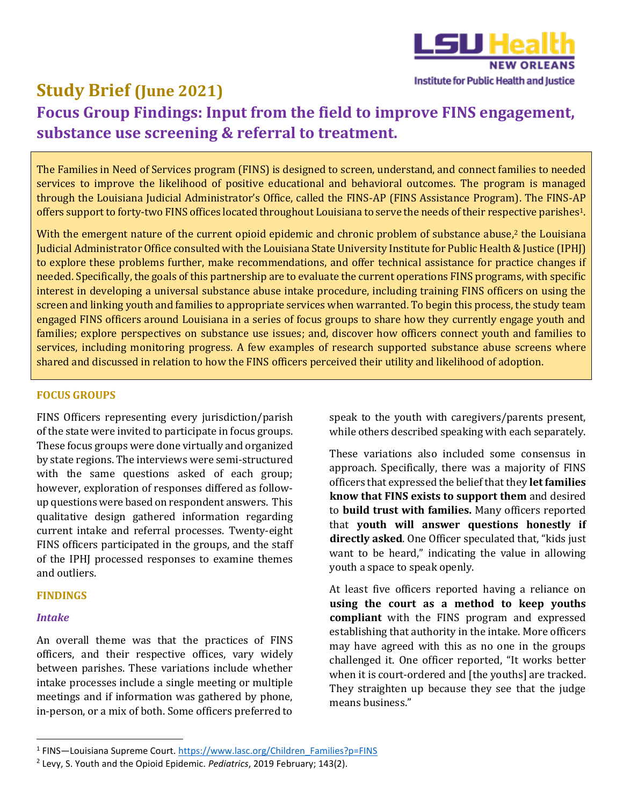

# **Study Brief (June 2021) Focus Group Findings: Input from the field to imp[rove FINS engagement,](http://sph.lsuhsc.edu/iphj) substance use screening & referral to treatment.**

The Families in Need of Services program (FINS) is designed to screen, understand, and connect families to needed services to improve the likelihood of positive educational and behavioral outcomes. The program is managed through the Louisiana Judicial Administrator's Office, called the FINS-AP (FINS Assistance Program). The FINS-AP offers support to forty-two FINS offices located throughout Louisiana to serve the needs of their respective parishes1.

With the emergent nature of the current opioid epidemic and chronic problem of substance abuse,<sup>2</sup> the Louisiana Judicial Administrator Office consulted with the Louisiana State University Institute for Public Health &Justice (IPHJ) to explore these problems further, make recommendations, and offer technical assistance for practice changes if needed. Specifically, the goals of this partnership are to evaluate the current operations FINS programs, with specific interest in developing a universal substance abuse intake procedure, including training FINS officers on using the screen and linking youth and families to appropriate services when warranted. To begin this process, the study team engaged FINS officers around Louisiana in a series of focus groups to share how they currently engage youth and families; explore perspectives on substance use issues; and, discover how officers connect youth and families to services, including monitoring progress. A few examples of research supported substance abuse screens where shared and discussed in relation to how the FINS officers perceived their utility and likelihood of adoption.

## **FOCUS GROUPS**

FINS Officers representing every jurisdiction/parish of the state were invited to participate in focus groups. These focus groups were done virtually and organized by state regions. The interviews were semi-structured with the same questions asked of each group; however, exploration of responses differed as followup questions were based on respondent answers. This qualitative design gathered information regarding current intake and referral processes. Twenty-eight FINS officers participated in the groups, and the staff of the IPHJ processed responses to examine themes and outliers.

## **FINDINGS**

## *Intake*

An overall theme was that the practices of FINS officers, and their respective offices, vary widely between parishes. These variations include whether intake processes include a single meeting or multiple meetings and if information was gathered by phone, in-person, or a mix of both. Some officers preferred to speak to the youth with caregivers/parents present, while others described speaking with each separately.

These variations also included some consensus in approach. Specifically, there was a majority of FINS officers that expressed the belief that they **let families know that FINS exists to support them** and desired to **build trust with families.** Many officers reported that **youth will answer questions honestly if directly asked**. One Officer speculated that, "kids just want to be heard," indicating the value in allowing youth a space to speak openly.

At least five officers reported having a reliance on **using the court as a method to keep youths compliant** with the FINS program and expressed establishing that authority in the intake. More officers may have agreed with this as no one in the groups challenged it. One officer reported, "It works better when it is court-ordered and [the youths] are tracked. They straighten up because they see that the judge means business."

<sup>&</sup>lt;sup>1</sup> FINS—Louisiana Supreme Court. [https://www.lasc.org/Children\\_Families?p=FINS](https://www.lasc.org/Children_Families?p=FINS)

<sup>2</sup> Levy, S. Youth and the Opioid Epidemic. *Pediatrics*, 2019 February; 143(2).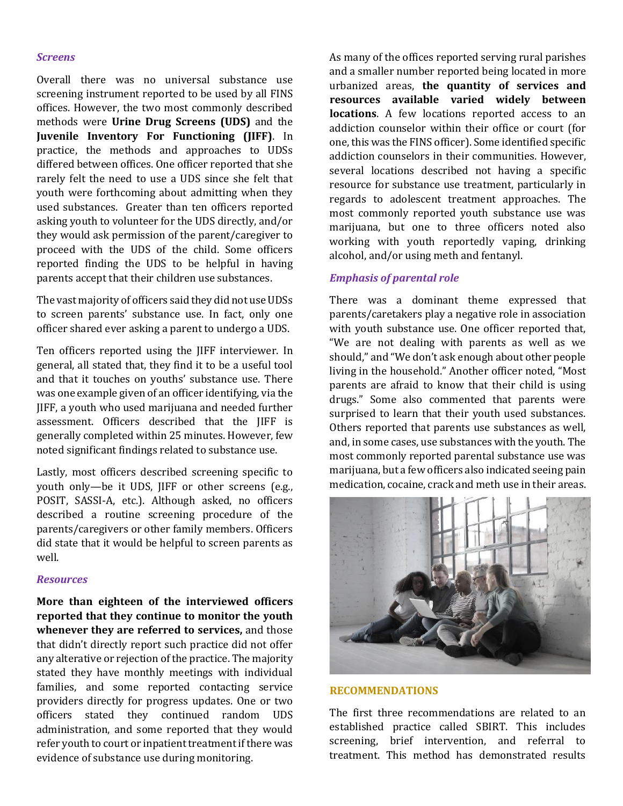#### *Screens*

Overall there was no universal substance use screening instrument reported to be used by all FINS offices. However, the two most commonly described methods were **Urine Drug Screens (UDS)** and the **Juvenile Inventory For Functioning (JIFF)**. In practice, the methods and approaches to UDSs differed between offices. One officer reported that she rarely felt the need to use a UDS since she felt that youth were forthcoming about admitting when they used substances. Greater than ten officers reported asking youth to volunteer for the UDS directly, and/or they would ask permission of the parent/caregiver to proceed with the UDS of the child. Some officers reported finding the UDS to be helpful in having parents accept that their children use substances.

The vast majority of officers said they did not use UDSs to screen parents' substance use. In fact, only one officer shared ever asking a parent to undergo a UDS.

Ten officers reported using the JIFF interviewer. In general, all stated that, they find it to be a useful tool and that it touches on youths' substance use. There was one example given of an officer identifying, via the JIFF, a youth who used marijuana and needed further assessment. Officers described that the JIFF is generally completed within 25 minutes. However, few noted significant findings related to substance use.

Lastly, most officers described screening specific to youth only—be it UDS, JIFF or other screens (e.g., POSIT, SASSI-A, etc.). Although asked, no officers described a routine screening procedure of the parents/caregivers or other family members. Officers did state that it would be helpful to screen parents as well.

#### *Resources*

**More than eighteen of the interviewed officers reported that they continue to monitor the youth whenever they are referred to services,** and those that didn't directly report such practice did not offer any alterative or rejection of the practice. The majority stated they have monthly meetings with individual families, and some reported contacting service providers directly for progress updates. One or two officers stated they continued random UDS administration, and some reported that they would refer youth to court or inpatient treatment if there was evidence of substance use during monitoring.

As many of the offices reported serving rural parishes and a smaller number reported being located in more urbanized areas, **the quantity of services and resources available varied widely between locations**. A few locations reported access to an addiction counselor within their office or court (for one, this was the FINS officer). Some identified specific addiction counselors in their communities. However, several locations described not having a specific resource for substance use treatment, particularly in regards to adolescent treatment approaches. The most commonly reported youth substance use was marijuana, but one to three officers noted also working with youth reportedly vaping, drinking alcohol, and/or using meth and fentanyl.

### *Emphasis of parental role*

There was a dominant theme expressed that parents/caretakers play a negative role in association with youth substance use. One officer reported that, "We are not dealing with parents as well as we should," and "We don't ask enough about other people living in the household." Another officer noted, "Most parents are afraid to know that their child is using drugs." Some also commented that parents were surprised to learn that their youth used substances. Others reported that parents use substances as well, and, in some cases, use substances with the youth. The most commonly reported parental substance use was marijuana, but a few officers also indicated seeing pain medication, cocaine, crack and meth use in their areas.



## **RECOMMENDATIONS**

The first three recommendations are related to an established practice called SBIRT. This includes screening, brief intervention, and referral to treatment. This method has demonstrated results